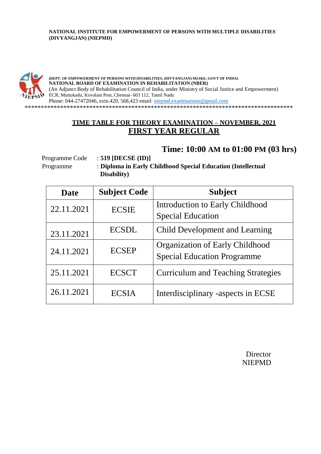### **NATIONAL INSTITUTE FOR EMPOWERMENT OF PERSONS WITH MULTIPLE DISABILITIES (DIVYANGJAN) (NIEPMD)**



**(DEPT. OF EMPOWERMENT OF PERSONS WITH DISABILITIES, (DIVYANGJAN) MSJ&E, GOVT OF INDIA) NATIONAL BOARD OF EXAMINATION IN REHABILITATION (NBER)** (An Adjunct Body of Rehabilitation Council of India, under Ministry of Social Justice and Empowerment) ECR, Muttukadu, Kovalam Post, Chennai- 603 112, Tamil Nadu Phone: 044-27472046, extn.420, 568,423 email: [niepmd.examinations@gmail.com](mailto:niepmd.examinations@gmail.com)

\*\*\*\*\*\*\*\*\*\*\*\*\*\*\*\*\*\*\*\*\*\*\*\*\*\*\*\*\*\*\*\*\*\*\*\*\*\*\*\*\*\*\*\*\*\*\*\*\*\*\*\*\*\*\*\*\*\*\*\*\*\*\*\*\*\*\*\*\*\*\*\*\*\*\*\*\*\*\*\*\*\*\*

### **TIME TABLE FOR THEORY EXAMINATION – NOVEMBER, 2021 FIRST YEAR REGULAR**

### **Time: 10:00 AM to 01:00 PM (03 hrs)**

Programme Code : **519 [DECSE (ID)]**

Programme : **Diploma in Early Childhood Special Education (Intellectual Disability)**

| <b>Date</b> | <b>Subject Code</b> | <b>Subject</b>                            |
|-------------|---------------------|-------------------------------------------|
| 22.11.2021  | <b>ECSIE</b>        | Introduction to Early Childhood           |
|             |                     | <b>Special Education</b>                  |
| 23.11.2021  | <b>ECSDL</b>        | Child Development and Learning            |
| 24.11.2021  | <b>ECSEP</b>        | Organization of Early Childhood           |
|             |                     | <b>Special Education Programme</b>        |
| 25.11.2021  | <b>ECSCT</b>        | <b>Curriculum and Teaching Strategies</b> |
| 26.11.2021  | <b>ECSIA</b>        | Interdisciplinary -aspects in ECSE        |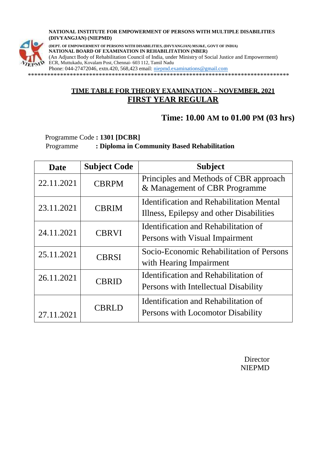#### **NATIONAL INSTITUTE FOR EMPOWERMENT OF PERSONS WITH MULTIPLE DISABILITIES (DIVYANGJAN) (NIEPMD)**



**(DEPT. OF EMPOWERMENT OF PERSONS WITH DISABILITIES, (DIVYANGJAN) MSJ&E, GOVT OF INDIA) NATIONAL BOARD OF EXAMINATION IN REHABILITATION (NBER)**

(An Adjunct Body of Rehabilitation Council of India, under Ministry of Social Justice and Empowerment) ECR, Muttukadu, Kovalam Post, Chennai- 603 112, Tamil Nadu

Phone: 044-27472046, extn.420, 568,423 email: [niepmd.examinations@gmail.com](mailto:niepmd.examinations@gmail.com)

\*\*\*\*\*\*\*\*\*\*\*\*\*\*\*\*\*\*\*\*\*\*\*\*\*\*\*\*\*\*\*\*\*\*\*\*\*\*\*\*\*\*\*\*\*\*\*\*\*\*\*\*\*\*\*\*\*\*\*\*\*\*\*\*\*\*\*\*\*\*\*\*\*\*\*\*\*\*\*\*\*

### **TIME TABLE FOR THEORY EXAMINATION – NOVEMBER, 2021 FIRST YEAR REGULAR**

## **Time: 10.00 AM to 01.00 PM (03 hrs)**

Programme Code **: 1301 [DCBR]** Programme **: Diploma in Community Based Rehabilitation**

| <b>Date</b> | <b>Subject Code</b> | <b>Subject</b>                                                                              |
|-------------|---------------------|---------------------------------------------------------------------------------------------|
| 22.11.2021  | <b>CBRPM</b>        | Principles and Methods of CBR approach<br>& Management of CBR Programme                     |
| 23.11.2021  | <b>CBRIM</b>        | <b>Identification and Rehabilitation Mental</b><br>Illness, Epilepsy and other Disabilities |
| 24.11.2021  | <b>CBRVI</b>        | Identification and Rehabilitation of<br>Persons with Visual Impairment                      |
| 25.11.2021  | <b>CBRSI</b>        | Socio-Economic Rehabilitation of Persons<br>with Hearing Impairment                         |
| 26.11.2021  | <b>CBRID</b>        | Identification and Rehabilitation of<br>Persons with Intellectual Disability                |
| 27.11.2021  | <b>CBRLD</b>        | Identification and Rehabilitation of<br>Persons with Locomotor Disability                   |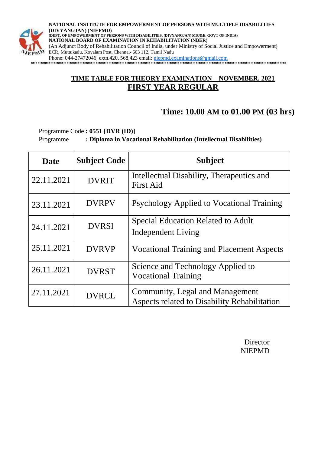

**NATIONAL INSTITUTE FOR EMPOWERMENT OF PERSONS WITH MULTIPLE DISABILITIES (DIVYANGJAN) (NIEPMD) (DEPT. OF EMPOWERMENT OF PERSONS WITH DISABILITIES, (DIVYANGJAN) MSJ&E, GOVT OF INDIA) NATIONAL BOARD OF EXAMINATION IN REHABILITATION (NBER)** (An Adjunct Body of Rehabilitation Council of India, under Ministry of Social Justice and Empowerment) ECR, Muttukadu, Kovalam Post, Chennai- 603 112, Tamil Nadu Phone: 044-27472046, extn.420, 568,423 email: [niepmd.examinations@gmail.com](mailto:niepmd.examinations@gmail.com)

\*\*\*\*\*\*\*\*\*\*\*\*\*\*\*\*\*\*\*\*\*\*\*\*\*\*\*\*\*\*\*\*\*\*\*\*\*\*\*\*\*\*\*\*\*\*\*\*\*\*\*\*\*\*\*\*\*\*\*\*\*\*\*\*\*\*\*\*\*\*\*\*\*\*\*\*\*\*\*

### **TIME TABLE FOR THEORY EXAMINATION – NOVEMBER, 2021 FIRST YEAR REGULAR**

## **Time: 10.00 AM to 01.00 PM (03 hrs)**

Programme Code **: 0551** [**DVR (ID)]** Programme **: Diploma in Vocational Rehabilitation (Intellectual Disabilities)**

| <b>Date</b> | <b>Subject Code</b> | <b>Subject</b>                                                                  |
|-------------|---------------------|---------------------------------------------------------------------------------|
| 22.11.2021  | <b>DVRIT</b>        | Intellectual Disability, Therapeutics and<br><b>First Aid</b>                   |
| 23.11.2021  | <b>DVRPV</b>        | Psychology Applied to Vocational Training                                       |
| 24.11.2021  | <b>DVRSI</b>        | <b>Special Education Related to Adult</b><br><b>Independent Living</b>          |
| 25.11.2021  | <b>DVRVP</b>        | <b>Vocational Training and Placement Aspects</b>                                |
| 26.11.2021  | <b>DVRST</b>        | Science and Technology Applied to<br><b>Vocational Training</b>                 |
| 27.11.2021  | <b>DVRCL</b>        | Community, Legal and Management<br>Aspects related to Disability Rehabilitation |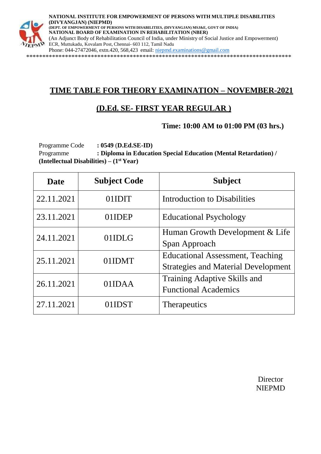

**NATIONAL INSTITUTE FOR EMPOWERMENT OF PERSONS WITH MULTIPLE DISABILITIES (DIVYANGJAN) (NIEPMD) (DEPT. OF EMPOWERMENT OF PERSONS WITH DISABILITIES, (DIVYANGJAN) MSJ&E, GOVT OF INDIA) NATIONAL BOARD OF EXAMINATION IN REHABILITATION (NBER)** (An Adjunct Body of Rehabilitation Council of India, under Ministry of Social Justice and Empowerment) ECR, Muttukadu, Kovalam Post, Chennai- 603 112, Tamil Nadu Phone: 044-27472046, extn.420, 568,423 email: [niepmd.examinations@gmail.com](mailto:niepmd.examinations@gmail.com) \*\*\*\*\*\*\*\*\*\*\*\*\*\*\*\*\*\*\*\*\*\*\*\*\*\*\*\*\*\*\*\*\*\*\*\*\*\*\*\*\*\*\*\*\*\*\*\*\*\*\*\*\*\*\*\*\*\*\*\*\*\*\*\*\*\*\*\*\*\*\*\*\*\*\*\*\*\*\*\*\*\*

# **TIME TABLE FOR THEORY EXAMINATION – NOVEMBER-2021**

# **(D.Ed. SE- FIRST YEAR REGULAR )**

**Time: 10:00 AM to 01:00 PM (03 hrs.)**

Programme Code **: 0549** (**D.Ed.SE-ID)** Programme **: Diploma in Education Special Education (Mental Retardation) / (Intellectual Disabilities) – (1st Year)**

| <b>Date</b> | <b>Subject Code</b> | <b>Subject</b>                                                                        |
|-------------|---------------------|---------------------------------------------------------------------------------------|
| 22.11.2021  | 01IDIT              | <b>Introduction to Disabilities</b>                                                   |
| 23.11.2021  | 01IDEP              | <b>Educational Psychology</b>                                                         |
| 24.11.2021  | 01IDLG              | Human Growth Development & Life<br>Span Approach                                      |
| 25.11.2021  | 01IDMT              | <b>Educational Assessment, Teaching</b><br><b>Strategies and Material Development</b> |
| 26.11.2021  | 01IDAA              | Training Adaptive Skills and<br><b>Functional Academics</b>                           |
| 27.11.2021  | 01IDST              | <b>Therapeutics</b>                                                                   |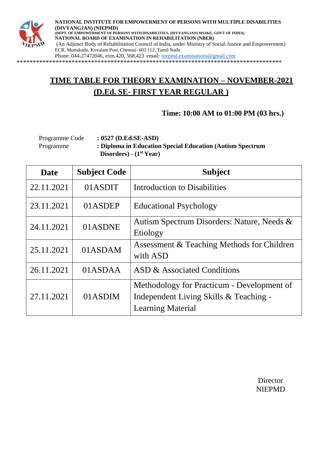

**NATIONAL INSTITUTE FOR EMPOWERMENT OF PERSONS WITH MULTIPLE DISABILITIES (DIVYANGJAN) (NIEPMD) (DEPT. OF EMPOWERMENT OF PERSONS WITH DISABILITIES, (DIVYANGJAN) MSJ&E, GOVT OF INDIA) NATIONAL BOARD OF EXAMINATION IN REHABILITATION (NBER)** (An Adjunct Body of Rehabilitation Council of India, under Ministry of Social Justice and Empowerment) ECR, Muttukadu, Kovalam Post, Chennai- 603 112, Tamil Nadu Phone: 044-27472046, extn.420, 568,423 email: [niepmd.examinations@gmail.com](mailto:niepmd.examinations@gmail.com)

\*\*\*\*\*\*\*\*\*\*\*\*\*\*\*\*\*\*\*\*\*\*\*\*\*\*\*\*\*\*\*\*\*\*\*\*\*\*\*\*\*\*\*\*\*\*\*\*\*\*\*\*\*\*\*\*\*\*\*\*\*\*\*\*\*\*\*\*\*\*\*\*\*\*\*\*\*\*\*\*\*\*

# **TIME TABLE FOR THEORY EXAMINATION – NOVEMBER-2021 (D.Ed. SE- FIRST YEAR REGULAR )**

**Time: 10:00 AM to 01:00 PM (03 hrs.)**

| Programme Code | $: 0527$ (D.Ed.SE-ASD)                                     |
|----------------|------------------------------------------------------------|
| Programme      | : Diploma in Education Special Education (Autism Spectrum) |
|                | Disorders) - $(1st Year)$                                  |

| <b>Date</b> | <b>Subject Code</b> | <b>Subject</b>                                                                                                   |
|-------------|---------------------|------------------------------------------------------------------------------------------------------------------|
| 22.11.2021  | 01ASDIT             | Introduction to Disabilities                                                                                     |
| 23.11.2021  | 01ASDEP             | <b>Educational Psychology</b>                                                                                    |
| 24.11.2021  | 01ASDNE             | Autism Spectrum Disorders: Nature, Needs &<br>Etiology                                                           |
| 25.11.2021  | 01ASDAM             | Assessment & Teaching Methods for Children<br>with ASD                                                           |
| 26.11.2021  | 01ASDAA             | ASD & Associated Conditions                                                                                      |
| 27.11.2021  | 01ASDIM             | Methodology for Practicum - Development of<br>Independent Living Skills & Teaching -<br><b>Learning Material</b> |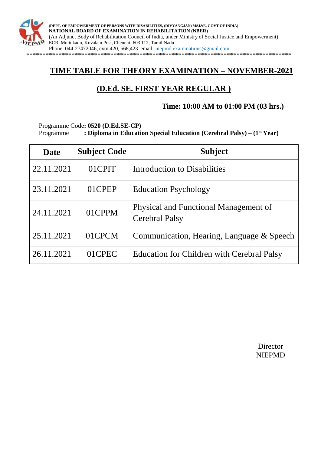

**(DEPT. OF EMPOWERMENT OF PERSONS WITH DISABILITIES, (DIVYANGJAN) MSJ&E, GOVT OF INDIA) NATIONAL BOARD OF EXAMINATION IN REHABILITATION (NBER)** (An Adjunct Body of Rehabilitation Council of India, under Ministry of Social Justice and Empowerment) ECR, Muttukadu, Kovalam Post, Chennai- 603 112, Tamil Nadu Phone: 044-27472046, extn.420, 568,423 email: [niepmd.examinations@gmail.com](mailto:niepmd.examinations@gmail.com) \*\*\*\*\*\*\*\*\*\*\*\*\*\*\*\*\*\*\*\*\*\*\*\*\*\*\*\*\*\*\*\*\*\*\*\*\*\*\*\*\*\*\*\*\*\*\*\*\*\*\*\*\*\*\*\*\*\*\*\*\*\*\*\*\*\*\*\*\*\*\*\*\*\*\*\*\*\*\*\*\*\*

## **TIME TABLE FOR THEORY EXAMINATION – NOVEMBER-2021**

# **(D.Ed. SE. FIRST YEAR REGULAR )**

### **Time: 10:00 AM to 01:00 PM (03 hrs.)**

Programme Code**: 0520 (D.Ed.SE-CP)**

Programme **: Diploma in Education Special Education (Cerebral Palsy) – (1st Year)**

| <b>Date</b> | <b>Subject Code</b> | <b>Subject</b>                                                 |
|-------------|---------------------|----------------------------------------------------------------|
| 22.11.2021  | 01CPIT              | Introduction to Disabilities                                   |
| 23.11.2021  | 01CPEP              | <b>Education Psychology</b>                                    |
| 24.11.2021  | 01CPPM              | Physical and Functional Management of<br><b>Cerebral Palsy</b> |
| 25.11.2021  | 01CPCM              | Communication, Hearing, Language & Speech                      |
| 26.11.2021  | 01CPEC              | <b>Education for Children with Cerebral Palsy</b>              |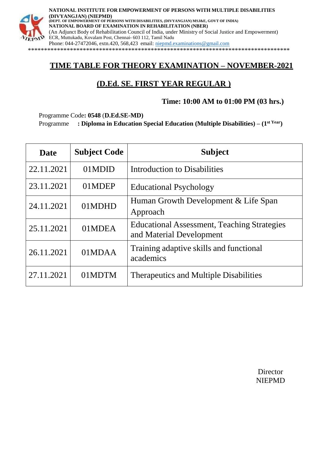

### **TIME TABLE FOR THEORY EXAMINATION – NOVEMBER-2021**

# **(D.Ed. SE. FIRST YEAR REGULAR )**

### **Time: 10:00 AM to 01:00 PM (03 hrs.)**

Programme Code**: 0548** (**D.Ed.SE-MD)**

Programme **: Diploma in Education Special Education (Multiple Disabilities) – (1st Year)**

| <b>Date</b> | <b>Subject Code</b> | <b>Subject</b>                                                                 |
|-------------|---------------------|--------------------------------------------------------------------------------|
| 22.11.2021  | 01MDID              | Introduction to Disabilities                                                   |
| 23.11.2021  | 01MDEP              | <b>Educational Psychology</b>                                                  |
| 24.11.2021  | 01MDHD              | Human Growth Development & Life Span<br>Approach                               |
| 25.11.2021  | 01MDEA              | <b>Educational Assessment, Teaching Strategies</b><br>and Material Development |
| 26.11.2021  | 01MDAA              | Training adaptive skills and functional<br>academics                           |
| 27.11.2021  | 01MDTM              | <b>Therapeutics and Multiple Disabilities</b>                                  |